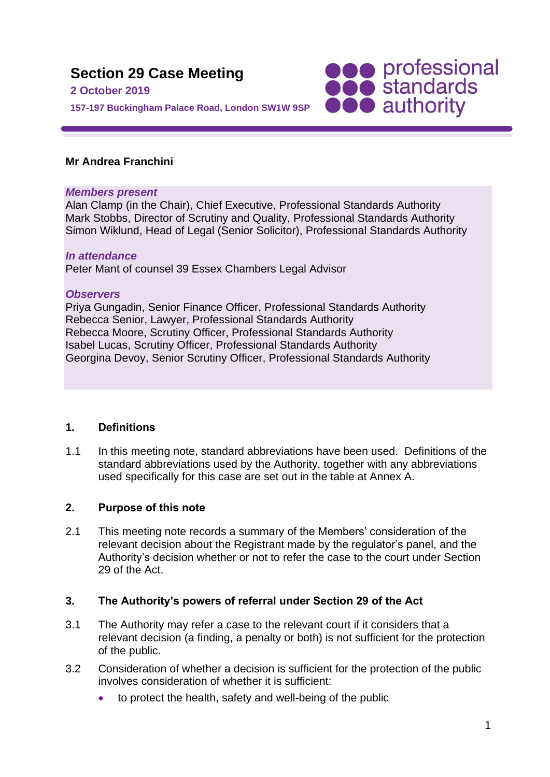

# **Mr Andrea Franchini**

#### *Members present*

Alan Clamp (in the Chair), Chief Executive, Professional Standards Authority Mark Stobbs, Director of Scrutiny and Quality, Professional Standards Authority Simon Wiklund, Head of Legal (Senior Solicitor), Professional Standards Authority

#### *In attendance*

Peter Mant of counsel 39 Essex Chambers Legal Advisor

#### *Observers*

Priya Gungadin, Senior Finance Officer, Professional Standards Authority Rebecca Senior, Lawyer, Professional Standards Authority Rebecca Moore, Scrutiny Officer, Professional Standards Authority Isabel Lucas, Scrutiny Officer, Professional Standards Authority Georgina Devoy, Senior Scrutiny Officer, Professional Standards Authority

# **1. Definitions**

1.1 In this meeting note, standard abbreviations have been used. Definitions of the standard abbreviations used by the Authority, together with any abbreviations used specifically for this case are set out in the table at Annex A.

# **2. Purpose of this note**

2.1 This meeting note records a summary of the Members' consideration of the relevant decision about the Registrant made by the regulator's panel, and the Authority's decision whether or not to refer the case to the court under Section 29 of the Act.

# **3. The Authority's powers of referral under Section 29 of the Act**

- 3.1 The Authority may refer a case to the relevant court if it considers that a relevant decision (a finding, a penalty or both) is not sufficient for the protection of the public.
- 3.2 Consideration of whether a decision is sufficient for the protection of the public involves consideration of whether it is sufficient:
	- to protect the health, safety and well-being of the public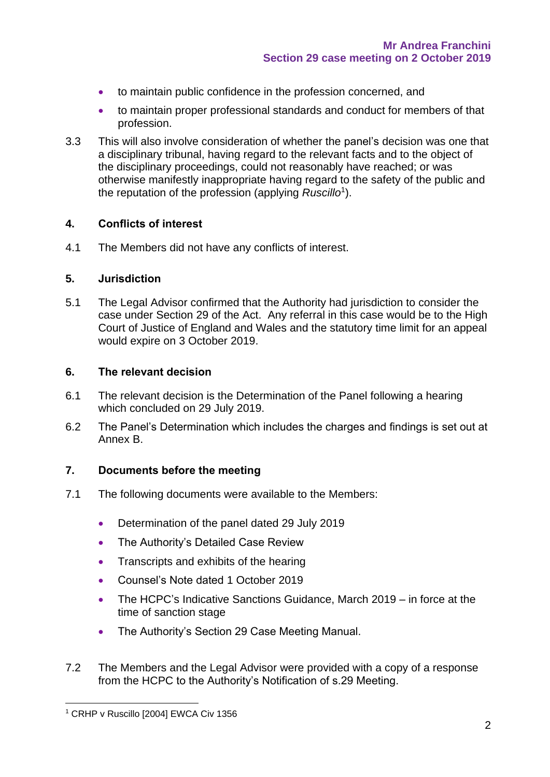- to maintain public confidence in the profession concerned, and
- to maintain proper professional standards and conduct for members of that profession.
- 3.3 This will also involve consideration of whether the panel's decision was one that a disciplinary tribunal, having regard to the relevant facts and to the object of the disciplinary proceedings, could not reasonably have reached; or was otherwise manifestly inappropriate having regard to the safety of the public and the reputation of the profession (applying *Ruscillo*<sup>1</sup> ).

#### **4. Conflicts of interest**

4.1 The Members did not have any conflicts of interest.

#### **5. Jurisdiction**

5.1 The Legal Advisor confirmed that the Authority had jurisdiction to consider the case under Section 29 of the Act. Any referral in this case would be to the High Court of Justice of England and Wales and the statutory time limit for an appeal would expire on 3 October 2019.

#### **6. The relevant decision**

- 6.1 The relevant decision is the Determination of the Panel following a hearing which concluded on 29 July 2019.
- 6.2 The Panel's Determination which includes the charges and findings is set out at Annex B.

# **7. Documents before the meeting**

- 7.1 The following documents were available to the Members:
	- Determination of the panel dated 29 July 2019
	- The Authority's Detailed Case Review
	- Transcripts and exhibits of the hearing
	- Counsel's Note dated 1 October 2019
	- The HCPC's Indicative Sanctions Guidance, March 2019 in force at the time of sanction stage
	- The Authority's Section 29 Case Meeting Manual.
- 7.2 The Members and the Legal Advisor were provided with a copy of a response from the HCPC to the Authority's Notification of s.29 Meeting.

<sup>&</sup>lt;sup>1</sup> CRHP v Ruscillo [2004] EWCA Civ 1356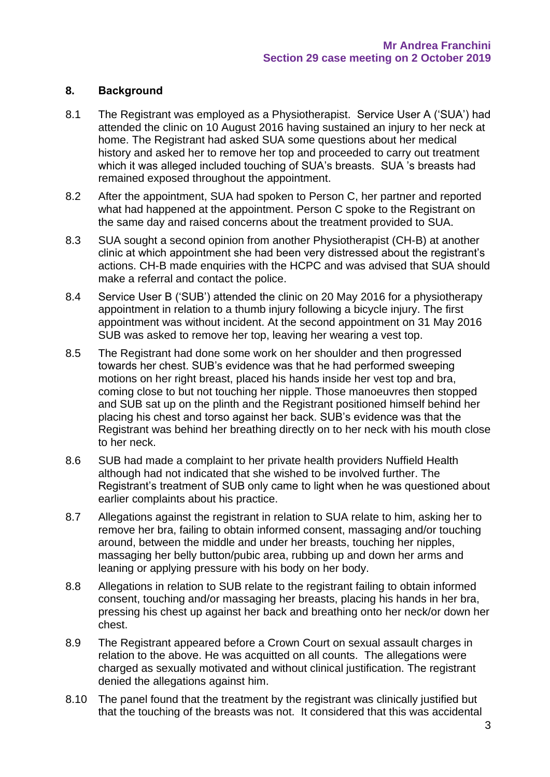# **8. Background**

- 8.1 The Registrant was employed as a Physiotherapist. Service User A ('SUA') had attended the clinic on 10 August 2016 having sustained an injury to her neck at home. The Registrant had asked SUA some questions about her medical history and asked her to remove her top and proceeded to carry out treatment which it was alleged included touching of SUA's breasts. SUA 's breasts had remained exposed throughout the appointment.
- 8.2 After the appointment, SUA had spoken to Person C, her partner and reported what had happened at the appointment. Person C spoke to the Registrant on the same day and raised concerns about the treatment provided to SUA.
- 8.3 SUA sought a second opinion from another Physiotherapist (CH-B) at another clinic at which appointment she had been very distressed about the registrant's actions. CH-B made enquiries with the HCPC and was advised that SUA should make a referral and contact the police.
- 8.4 Service User B ('SUB') attended the clinic on 20 May 2016 for a physiotherapy appointment in relation to a thumb injury following a bicycle injury. The first appointment was without incident. At the second appointment on 31 May 2016 SUB was asked to remove her top, leaving her wearing a vest top.
- 8.5 The Registrant had done some work on her shoulder and then progressed towards her chest. SUB's evidence was that he had performed sweeping motions on her right breast, placed his hands inside her vest top and bra, coming close to but not touching her nipple. Those manoeuvres then stopped and SUB sat up on the plinth and the Registrant positioned himself behind her placing his chest and torso against her back. SUB's evidence was that the Registrant was behind her breathing directly on to her neck with his mouth close to her neck.
- 8.6 SUB had made a complaint to her private health providers Nuffield Health although had not indicated that she wished to be involved further. The Registrant's treatment of SUB only came to light when he was questioned about earlier complaints about his practice.
- 8.7 Allegations against the registrant in relation to SUA relate to him, asking her to remove her bra, failing to obtain informed consent, massaging and/or touching around, between the middle and under her breasts, touching her nipples, massaging her belly button/pubic area, rubbing up and down her arms and leaning or applying pressure with his body on her body.
- 8.8 Allegations in relation to SUB relate to the registrant failing to obtain informed consent, touching and/or massaging her breasts, placing his hands in her bra, pressing his chest up against her back and breathing onto her neck/or down her chest.
- 8.9 The Registrant appeared before a Crown Court on sexual assault charges in relation to the above. He was acquitted on all counts. The allegations were charged as sexually motivated and without clinical justification. The registrant denied the allegations against him.
- 8.10 The panel found that the treatment by the registrant was clinically justified but that the touching of the breasts was not. It considered that this was accidental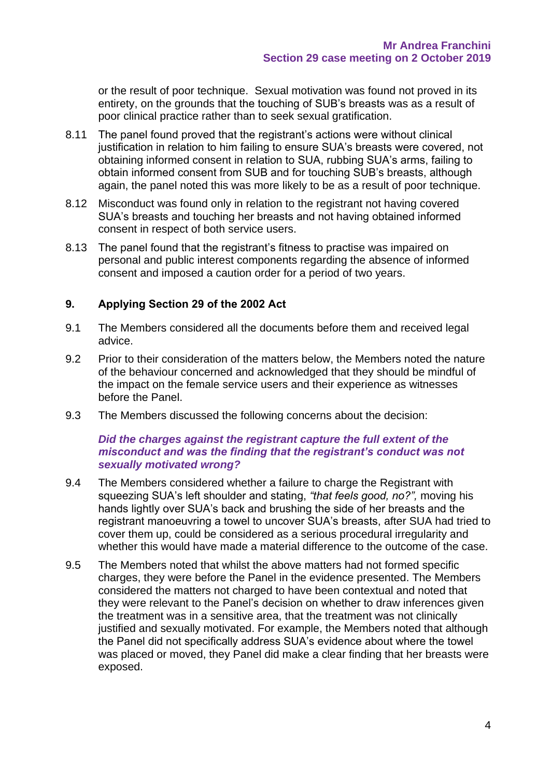or the result of poor technique. Sexual motivation was found not proved in its entirety, on the grounds that the touching of SUB's breasts was as a result of poor clinical practice rather than to seek sexual gratification.

- 8.11 The panel found proved that the registrant's actions were without clinical justification in relation to him failing to ensure SUA's breasts were covered, not obtaining informed consent in relation to SUA, rubbing SUA's arms, failing to obtain informed consent from SUB and for touching SUB's breasts, although again, the panel noted this was more likely to be as a result of poor technique.
- 8.12 Misconduct was found only in relation to the registrant not having covered SUA's breasts and touching her breasts and not having obtained informed consent in respect of both service users.
- 8.13 The panel found that the registrant's fitness to practise was impaired on personal and public interest components regarding the absence of informed consent and imposed a caution order for a period of two years.

# **9. Applying Section 29 of the 2002 Act**

- 9.1 The Members considered all the documents before them and received legal advice.
- 9.2 Prior to their consideration of the matters below, the Members noted the nature of the behaviour concerned and acknowledged that they should be mindful of the impact on the female service users and their experience as witnesses before the Panel.
- 9.3 The Members discussed the following concerns about the decision:

#### *Did the charges against the registrant capture the full extent of the misconduct and was the finding that the registrant's conduct was not sexually motivated wrong?*

- 9.4 The Members considered whether a failure to charge the Registrant with squeezing SUA's left shoulder and stating, *"that feels good, no?",* moving his hands lightly over SUA's back and brushing the side of her breasts and the registrant manoeuvring a towel to uncover SUA's breasts, after SUA had tried to cover them up, could be considered as a serious procedural irregularity and whether this would have made a material difference to the outcome of the case.
- 9.5 The Members noted that whilst the above matters had not formed specific charges, they were before the Panel in the evidence presented. The Members considered the matters not charged to have been contextual and noted that they were relevant to the Panel's decision on whether to draw inferences given the treatment was in a sensitive area, that the treatment was not clinically justified and sexually motivated. For example, the Members noted that although the Panel did not specifically address SUA's evidence about where the towel was placed or moved, they Panel did make a clear finding that her breasts were exposed.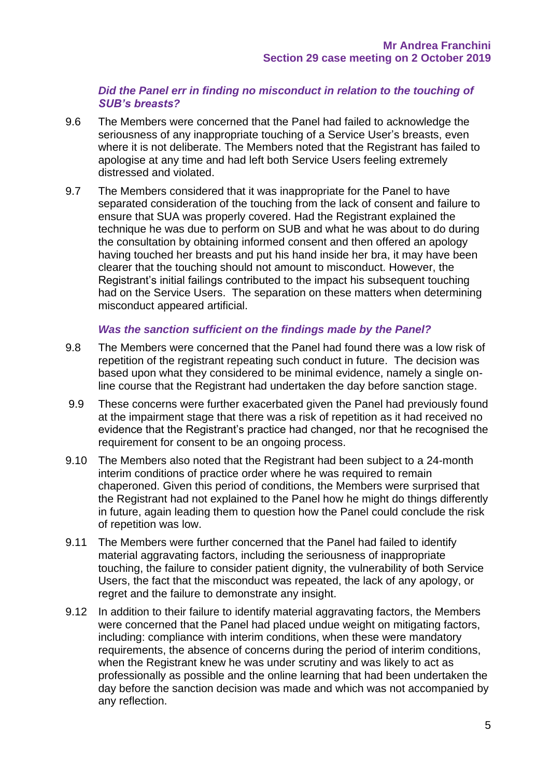# *Did the Panel err in finding no misconduct in relation to the touching of SUB's breasts?*

- 9.6 The Members were concerned that the Panel had failed to acknowledge the seriousness of any inappropriate touching of a Service User's breasts, even where it is not deliberate. The Members noted that the Registrant has failed to apologise at any time and had left both Service Users feeling extremely distressed and violated.
- 9.7 The Members considered that it was inappropriate for the Panel to have separated consideration of the touching from the lack of consent and failure to ensure that SUA was properly covered. Had the Registrant explained the technique he was due to perform on SUB and what he was about to do during the consultation by obtaining informed consent and then offered an apology having touched her breasts and put his hand inside her bra, it may have been clearer that the touching should not amount to misconduct. However, the Registrant's initial failings contributed to the impact his subsequent touching had on the Service Users. The separation on these matters when determining misconduct appeared artificial.

# *Was the sanction sufficient on the findings made by the Panel?*

- 9.8 The Members were concerned that the Panel had found there was a low risk of repetition of the registrant repeating such conduct in future. The decision was based upon what they considered to be minimal evidence, namely a single online course that the Registrant had undertaken the day before sanction stage.
- 9.9 These concerns were further exacerbated given the Panel had previously found at the impairment stage that there was a risk of repetition as it had received no evidence that the Registrant's practice had changed, nor that he recognised the requirement for consent to be an ongoing process.
- 9.10 The Members also noted that the Registrant had been subject to a 24-month interim conditions of practice order where he was required to remain chaperoned. Given this period of conditions, the Members were surprised that the Registrant had not explained to the Panel how he might do things differently in future, again leading them to question how the Panel could conclude the risk of repetition was low.
- 9.11 The Members were further concerned that the Panel had failed to identify material aggravating factors, including the seriousness of inappropriate touching, the failure to consider patient dignity, the vulnerability of both Service Users, the fact that the misconduct was repeated, the lack of any apology, or regret and the failure to demonstrate any insight.
- 9.12 In addition to their failure to identify material aggravating factors, the Members were concerned that the Panel had placed undue weight on mitigating factors, including: compliance with interim conditions, when these were mandatory requirements, the absence of concerns during the period of interim conditions, when the Registrant knew he was under scrutiny and was likely to act as professionally as possible and the online learning that had been undertaken the day before the sanction decision was made and which was not accompanied by any reflection.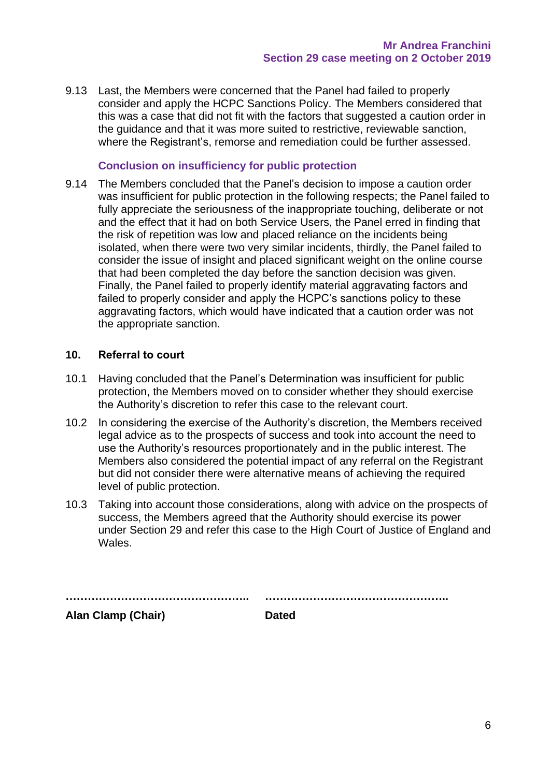9.13 Last, the Members were concerned that the Panel had failed to properly consider and apply the HCPC Sanctions Policy. The Members considered that this was a case that did not fit with the factors that suggested a caution order in the guidance and that it was more suited to restrictive, reviewable sanction, where the Registrant's, remorse and remediation could be further assessed.

### **Conclusion on insufficiency for public protection**

9.14 The Members concluded that the Panel's decision to impose a caution order was insufficient for public protection in the following respects; the Panel failed to fully appreciate the seriousness of the inappropriate touching, deliberate or not and the effect that it had on both Service Users, the Panel erred in finding that the risk of repetition was low and placed reliance on the incidents being isolated, when there were two very similar incidents, thirdly, the Panel failed to consider the issue of insight and placed significant weight on the online course that had been completed the day before the sanction decision was given. Finally, the Panel failed to properly identify material aggravating factors and failed to properly consider and apply the HCPC's sanctions policy to these aggravating factors, which would have indicated that a caution order was not the appropriate sanction.

#### **10. Referral to court**

- 10.1 Having concluded that the Panel's Determination was insufficient for public protection, the Members moved on to consider whether they should exercise the Authority's discretion to refer this case to the relevant court.
- 10.2 In considering the exercise of the Authority's discretion, the Members received legal advice as to the prospects of success and took into account the need to use the Authority's resources proportionately and in the public interest. The Members also considered the potential impact of any referral on the Registrant but did not consider there were alternative means of achieving the required level of public protection.
- 10.3 Taking into account those considerations, along with advice on the prospects of success, the Members agreed that the Authority should exercise its power under Section 29 and refer this case to the High Court of Justice of England and Wales.

| <b>Alan Clamp (Chair)</b> | <b>Dated</b> |
|---------------------------|--------------|